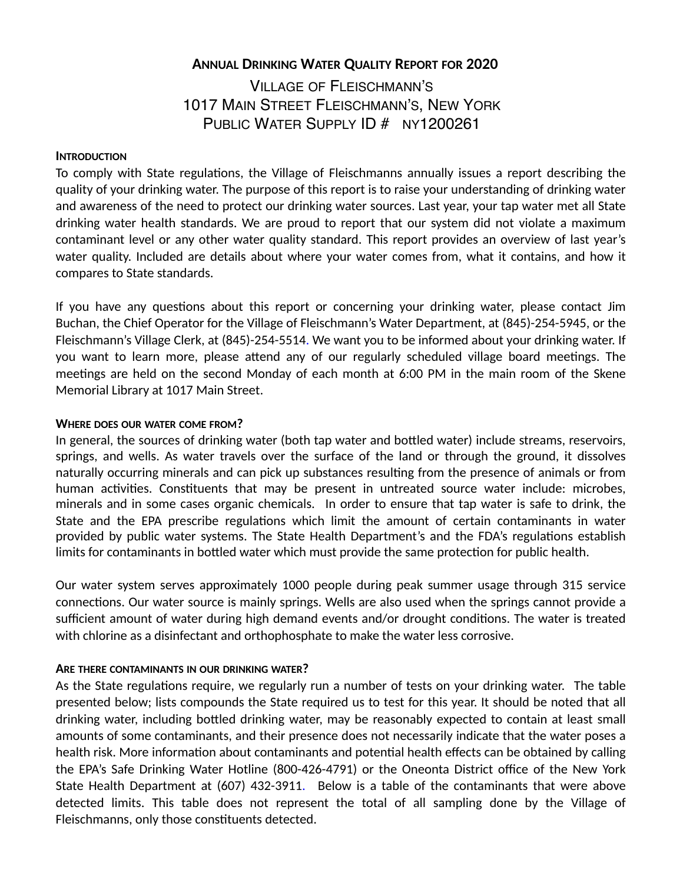# **ANNUAL DRINKING WATER QUALITY REPORT FOR 2020** VILLAGE OF FLEISCHMANN'S 1017 MAIN STREET FLEISCHMANN'S, NEW YORK PUBLIC WATER SUPPLY ID # NY1200261

### **INTRODUCTION**

To comply with State regulations, the Village of Fleischmanns annually issues a report describing the quality of your drinking water. The purpose of this report is to raise your understanding of drinking water and awareness of the need to protect our drinking water sources. Last year, your tap water met all State drinking water health standards. We are proud to report that our system did not violate a maximum contaminant level or any other water quality standard. This report provides an overview of last year's water quality. Included are details about where your water comes from, what it contains, and how it compares to State standards.

If you have any questions about this report or concerning your drinking water, please contact Jim Buchan, the Chief Operator for the Village of Fleischmann's Water Department, at (845)-254-5945, or the Fleischmann's Village Clerk, at (845)-254-5514. We want you to be informed about your drinking water. If you want to learn more, please attend any of our regularly scheduled village board meetings. The meetings are held on the second Monday of each month at 6:00 PM in the main room of the Skene Memorial Library at 1017 Main Street.

### **WHERE DOES OUR WATER COME FROM?**

In general, the sources of drinking water (both tap water and bottled water) include streams, reservoirs, springs, and wells. As water travels over the surface of the land or through the ground, it dissolves naturally occurring minerals and can pick up substances resulting from the presence of animals or from human activities. Constituents that may be present in untreated source water include: microbes, minerals and in some cases organic chemicals. In order to ensure that tap water is safe to drink, the State and the EPA prescribe regulations which limit the amount of certain contaminants in water provided by public water systems. The State Health Department's and the FDA's regulations establish limits for contaminants in bottled water which must provide the same protection for public health.

Our water system serves approximately 1000 people during peak summer usage through 315 service connections. Our water source is mainly springs. Wells are also used when the springs cannot provide a sufficient amount of water during high demand events and/or drought conditions. The water is treated with chlorine as a disinfectant and orthophosphate to make the water less corrosive.

# **ARE THERE CONTAMINANTS IN OUR DRINKING WATER?**

As the State regulations require, we regularly run a number of tests on your drinking water. The table presented below; lists compounds the State required us to test for this year. It should be noted that all drinking water, including bottled drinking water, may be reasonably expected to contain at least small amounts of some contaminants, and their presence does not necessarily indicate that the water poses a health risk. More information about contaminants and potential health effects can be obtained by calling the EPA's Safe Drinking Water Hotline (800-426-4791) or the Oneonta District office of the New York State Health Department at (607) 432-3911. Below is a table of the contaminants that were above detected limits. This table does not represent the total of all sampling done by the Village of Fleischmanns, only those constituents detected.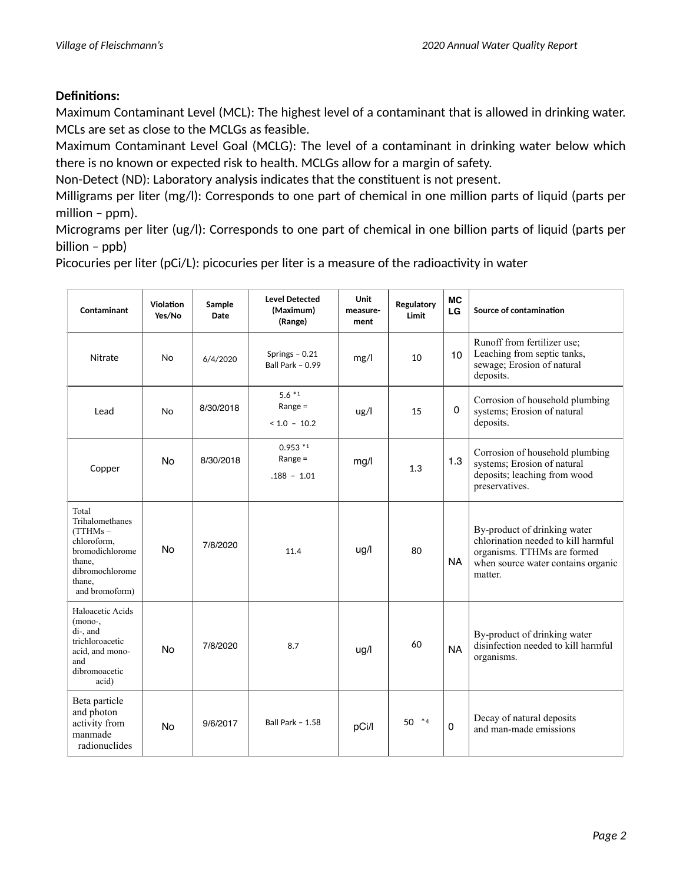# **Definitions:**

Maximum Contaminant Level (MCL): The highest level of a contaminant that is allowed in drinking water. MCLs are set as close to the MCLGs as feasible.

Maximum Contaminant Level Goal (MCLG): The level of a contaminant in drinking water below which there is no known or expected risk to health. MCLGs allow for a margin of safety.

Non-Detect (ND): Laboratory analysis indicates that the constituent is not present.

Milligrams per liter (mg/l): Corresponds to one part of chemical in one million parts of liquid (parts per million – ppm).

Micrograms per liter (ug/l): Corresponds to one part of chemical in one billion parts of liquid (parts per billion – ppb)

Picocuries per liter (pCi/L): picocuries per liter is a measure of the radioactivity in water

| Contaminant                                                                                                                     | Violation<br>Yes/No | Sample<br><b>Date</b> | <b>Level Detected</b><br>(Maximum)<br>(Range) | Unit<br>measure-<br>ment | Regulatory<br>Limit | <b>MC</b><br>LG | Source of contamination                                                                                                                             |
|---------------------------------------------------------------------------------------------------------------------------------|---------------------|-----------------------|-----------------------------------------------|--------------------------|---------------------|-----------------|-----------------------------------------------------------------------------------------------------------------------------------------------------|
| Nitrate                                                                                                                         | <b>No</b>           | 6/4/2020              | Springs $-0.21$<br>Ball Park - 0.99           | mg/l                     | 10                  | 10              | Runoff from fertilizer use;<br>Leaching from septic tanks,<br>sewage; Erosion of natural<br>deposits.                                               |
| Lead                                                                                                                            | <b>No</b>           | 8/30/2018             | $5.6*1$<br>Range $=$<br>$< 1.0 - 10.2$        | $\lg$ /l                 | 15                  | $\mathbf 0$     | Corrosion of household plumbing<br>systems; Erosion of natural<br>deposits.                                                                         |
| Copper                                                                                                                          | <b>No</b>           | 8/30/2018             | $0.953*1$<br>Range $=$<br>$.188 - 1.01$       | mg/l                     | 1.3                 | 1.3             | Corrosion of household plumbing<br>systems; Erosion of natural<br>deposits; leaching from wood<br>preservatives.                                    |
| Total<br>Trihalomethanes<br>(TTHMs –<br>chloroform,<br>bromodichlorome<br>thane.<br>dibromochlorome<br>thane.<br>and bromoform) | <b>No</b>           | 7/8/2020              | 11.4                                          | ug/l                     | 80                  | <b>NA</b>       | By-product of drinking water<br>chlorination needed to kill harmful<br>organisms. TTHMs are formed<br>when source water contains organic<br>matter. |
| Haloacetic Acids<br>(mono-,<br>di-, and<br>trichloroacetic<br>acid, and mono-<br>and<br>dibromoacetic<br>acid)                  | <b>No</b>           | 7/8/2020              | 8.7                                           | ug/l                     | 60                  | <b>NA</b>       | By-product of drinking water<br>disinfection needed to kill harmful<br>organisms.                                                                   |
| Beta particle<br>and photon<br>activity from<br>manmade<br>radionuclides                                                        | No                  | 9/6/2017              | <b>Ball Park - 1.58</b>                       | pCi/l                    | 50 *4               | $\mathbf 0$     | Decay of natural deposits<br>and man-made emissions                                                                                                 |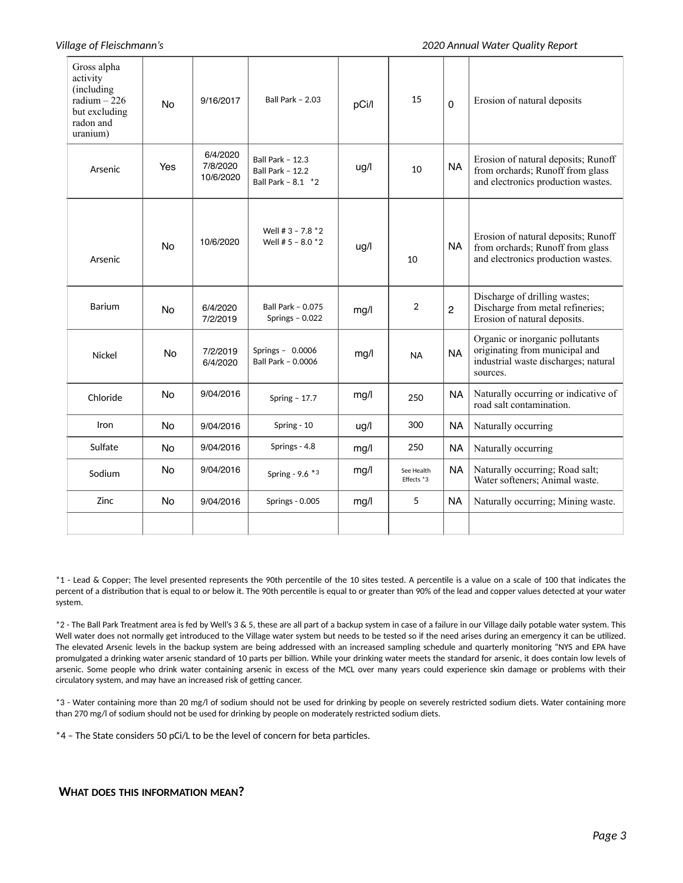### *Village of Fleischmann's 2020 Annual Water Quality Report*

| Gross alpha<br>activity<br>(including<br>radium $-226$<br>but excluding<br>radon and<br>uranium) | <b>No</b> | 9/16/2017                         | <b>Ball Park - 2.03</b>                                                  | pCi/l | 15                       | $\mathbf 0$    | Erosion of natural deposits                                                                                           |
|--------------------------------------------------------------------------------------------------|-----------|-----------------------------------|--------------------------------------------------------------------------|-------|--------------------------|----------------|-----------------------------------------------------------------------------------------------------------------------|
| Arsenic                                                                                          | Yes       | 6/4/2020<br>7/8/2020<br>10/6/2020 | <b>Ball Park - 12.3</b><br><b>Ball Park - 12.2</b><br>Ball Park - 8.1 *2 | ug/l  | 10                       | <b>NA</b>      | Erosion of natural deposits; Runoff<br>from orchards; Runoff from glass<br>and electronics production wastes.         |
| Arsenic                                                                                          | <b>No</b> | 10/6/2020                         | Well # $3 - 7.8$ $*2$<br>Well # $5 - 8.0$ $*2$                           | ug/l  | 10                       | <b>NA</b>      | Erosion of natural deposits; Runoff<br>from orchards; Runoff from glass<br>and electronics production wastes.         |
| Barium                                                                                           | <b>No</b> | 6/4/2020<br>7/2/2019              | <b>Ball Park - 0.075</b><br>Springs $-0.022$                             | mg/l  | $\overline{2}$           | $\overline{2}$ | Discharge of drilling wastes;<br>Discharge from metal refineries;<br>Erosion of natural deposits.                     |
| Nickel                                                                                           | <b>No</b> | 7/2/2019<br>6/4/2020              | Springs - $0.0006$<br>Ball Park - 0.0006                                 | mg/l  | <b>NA</b>                | <b>NA</b>      | Organic or inorganic pollutants<br>originating from municipal and<br>industrial waste discharges; natural<br>sources. |
| Chloride                                                                                         | <b>No</b> | 9/04/2016                         | Spring $-17.7$                                                           | mg/l  | 250                      | <b>NA</b>      | Naturally occurring or indicative of<br>road salt contamination.                                                      |
| Iron                                                                                             | <b>No</b> | 9/04/2016                         | Spring - 10                                                              | ug/l  | 300                      | <b>NA</b>      | Naturally occurring                                                                                                   |
| Sulfate                                                                                          | No.       | 9/04/2016                         | Springs - 4.8                                                            | mg/l  | 250                      | <b>NA</b>      | Naturally occurring                                                                                                   |
| Sodium                                                                                           | <b>No</b> | 9/04/2016                         | Spring - 9.6 *3                                                          | mg/l  | See Health<br>Effects *3 | <b>NA</b>      | Naturally occurring; Road salt;<br>Water softeners; Animal waste.                                                     |
| Zinc                                                                                             | <b>No</b> | 9/04/2016                         | <b>Springs - 0.005</b>                                                   | mg/l  | 5                        | <b>NA</b>      | Naturally occurring; Mining waste.                                                                                    |
|                                                                                                  |           |                                   |                                                                          |       |                          |                |                                                                                                                       |

\*1 - Lead & Copper; The level presented represents the 90th percentile of the 10 sites tested. A percentile is a value on a scale of 100 that indicates the percent of a distribution that is equal to or below it. The 90th percentile is equal to or greater than 90% of the lead and copper values detected at your water system.

\*2 - The Ball Park Treatment area is fed by Well's 3 & 5, these are all part of a backup system in case of a failure in our Village daily potable water system. This Well water does not normally get introduced to the Village water system but needs to be tested so if the need arises during an emergency it can be utilized. The elevated Arsenic levels in the backup system are being addressed with an increased sampling schedule and quarterly monitoring "NYS and EPA have promulgated a drinking water arsenic standard of 10 parts per billion. While your drinking water meets the standard for arsenic, it does contain low levels of arsenic. Some people who drink water containing arsenic in excess of the MCL over many years could experience skin damage or problems with their circulatory system, and may have an increased risk of getting cancer.

\*3 - Water containing more than 20 mg/l of sodium should not be used for drinking by people on severely restricted sodium diets. Water containing more than 270 mg/l of sodium should not be used for drinking by people on moderately restricted sodium diets.

\*4 – The State considers 50 pCi/L to be the level of concern for beta particles.

### **WHAT DOES THIS INFORMATION MEAN?**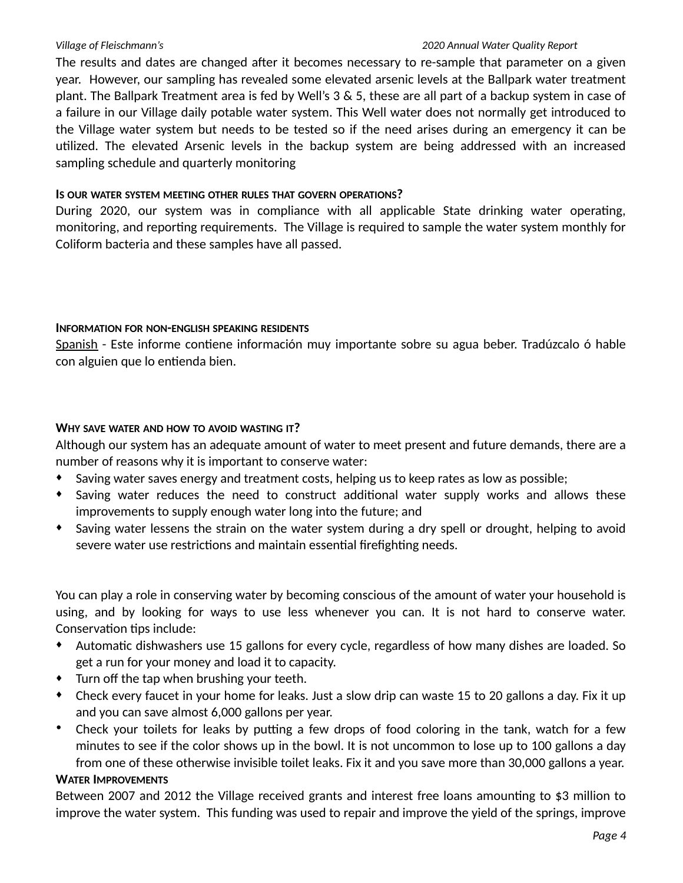### *Village of Fleischmann's 2020 Annual Water Quality Report*

The results and dates are changed after it becomes necessary to re-sample that parameter on a given year. However, our sampling has revealed some elevated arsenic levels at the Ballpark water treatment plant. The Ballpark Treatment area is fed by Well's 3 & 5, these are all part of a backup system in case of a failure in our Village daily potable water system. This Well water does not normally get introduced to the Village water system but needs to be tested so if the need arises during an emergency it can be utilized. The elevated Arsenic levels in the backup system are being addressed with an increased sampling schedule and quarterly monitoring

### **IS OUR WATER SYSTEM MEETING OTHER RULES THAT GOVERN OPERATIONS?**

During 2020, our system was in compliance with all applicable State drinking water operating, monitoring, and reporting requirements. The Village is required to sample the water system monthly for Coliform bacteria and these samples have all passed.

### **INFORMATION FOR NON-ENGLISH SPEAKING RESIDENTS**

Spanish - Este informe contiene información muy importante sobre su agua beber. Tradúzcalo ó hable con alguien que lo entienda bien.

# **WHY SAVE WATER AND HOW TO AVOID WASTING IT?**

Although our system has an adequate amount of water to meet present and future demands, there are a number of reasons why it is important to conserve water:

- ♦ Saving water saves energy and treatment costs, helping us to keep rates as low as possible;
- ♦ Saving water reduces the need to construct additional water supply works and allows these improvements to supply enough water long into the future; and
- ♦ Saving water lessens the strain on the water system during a dry spell or drought, helping to avoid severe water use restrictions and maintain essential firefighting needs.

You can play a role in conserving water by becoming conscious of the amount of water your household is using, and by looking for ways to use less whenever you can. It is not hard to conserve water. Conservation tips include:

- ♦ Automatic dishwashers use 15 gallons for every cycle, regardless of how many dishes are loaded. So get a run for your money and load it to capacity.
- ♦ Turn off the tap when brushing your teeth.
- ♦ Check every faucet in your home for leaks. Just a slow drip can waste 15 to 20 gallons a day. Fix it up and you can save almost 6,000 gallons per year.
- Check your toilets for leaks by putting a few drops of food coloring in the tank, watch for a few minutes to see if the color shows up in the bowl. It is not uncommon to lose up to 100 gallons a day from one of these otherwise invisible toilet leaks. Fix it and you save more than 30,000 gallons a year.

### **WATER IMPROVEMENTS**

Between 2007 and 2012 the Village received grants and interest free loans amounting to \$3 million to improve the water system. This funding was used to repair and improve the yield of the springs, improve